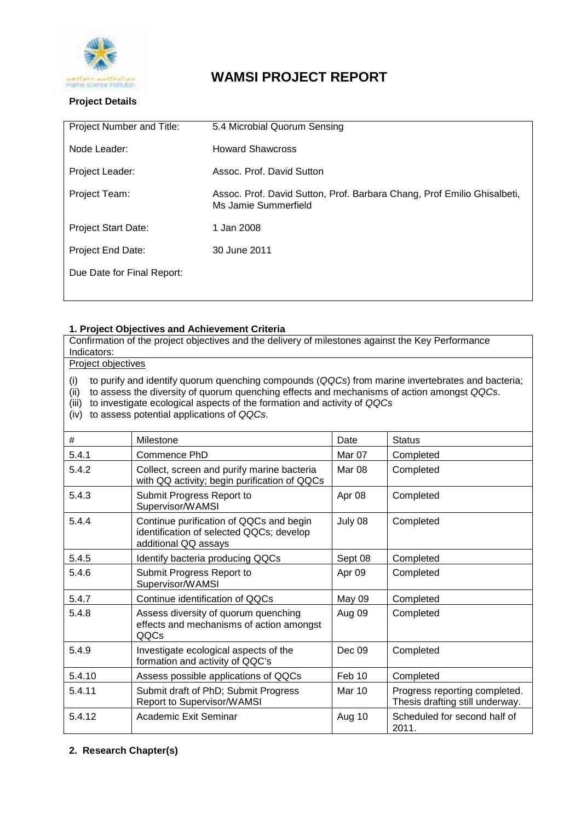

# **WAMSI PROJECT REPORT**

## **Project Details**

| Project Number and Title:  | 5.4 Microbial Quorum Sensing                                                                    |  |
|----------------------------|-------------------------------------------------------------------------------------------------|--|
| Node Leader:               | <b>Howard Shawcross</b>                                                                         |  |
| Project Leader:            | Assoc. Prof. David Sutton                                                                       |  |
| Project Team:              | Assoc. Prof. David Sutton, Prof. Barbara Chang, Prof Emilio Ghisalbeti,<br>Ms Jamie Summerfield |  |
| <b>Project Start Date:</b> | 1 Jan 2008                                                                                      |  |
| Project End Date:          | 30 June 2011                                                                                    |  |
| Due Date for Final Report: |                                                                                                 |  |
|                            |                                                                                                 |  |

## **1. Project Objectives and Achievement Criteria**

Confirmation of the project objectives and the delivery of milestones against the Key Performance Indicators:

Project objectives

(i) to purify and identify quorum quenching compounds (*QQCs*) from marine invertebrates and bacteria;

(ii) to assess the diversity of quorum quenching effects and mechanisms of action amongst *QQCs*.

(iii) to investigate ecological aspects of the formation and activity of *QQCs*

(iv) to assess potential applications of *QQCs*.

| #      | Milestone                                                                                                   | Date    | <b>Status</b>                                                    |
|--------|-------------------------------------------------------------------------------------------------------------|---------|------------------------------------------------------------------|
| 5.4.1  | Commence PhD                                                                                                | Mar 07  | Completed                                                        |
| 5.4.2  | Collect, screen and purify marine bacteria<br>with QQ activity; begin purification of QQCs                  | Mar 08  | Completed                                                        |
| 5.4.3  | Submit Progress Report to<br>Supervisor/WAMSI                                                               | Apr 08  | Completed                                                        |
| 5.4.4  | Continue purification of QQCs and begin<br>identification of selected QQCs; develop<br>additional QQ assays | July 08 | Completed                                                        |
| 5.4.5  | Identify bacteria producing QQCs                                                                            | Sept 08 | Completed                                                        |
| 5.4.6  | Submit Progress Report to<br>Supervisor/WAMSI                                                               | Apr 09  | Completed                                                        |
| 5.4.7  | Continue identification of QQCs                                                                             | May 09  | Completed                                                        |
| 5.4.8  | Assess diversity of quorum quenching<br>effects and mechanisms of action amongst<br>QQCs                    | Aug 09  | Completed                                                        |
| 5.4.9  | Investigate ecological aspects of the<br>formation and activity of QQC's                                    | Dec 09  | Completed                                                        |
| 5.4.10 | Assess possible applications of QQCs                                                                        | Feb 10  | Completed                                                        |
| 5.4.11 | Submit draft of PhD; Submit Progress<br>Report to Supervisor/WAMSI                                          | Mar 10  | Progress reporting completed.<br>Thesis drafting still underway. |
| 5.4.12 | Academic Exit Seminar                                                                                       | Aug 10  | Scheduled for second half of<br>2011.                            |

## **2. Research Chapter(s)**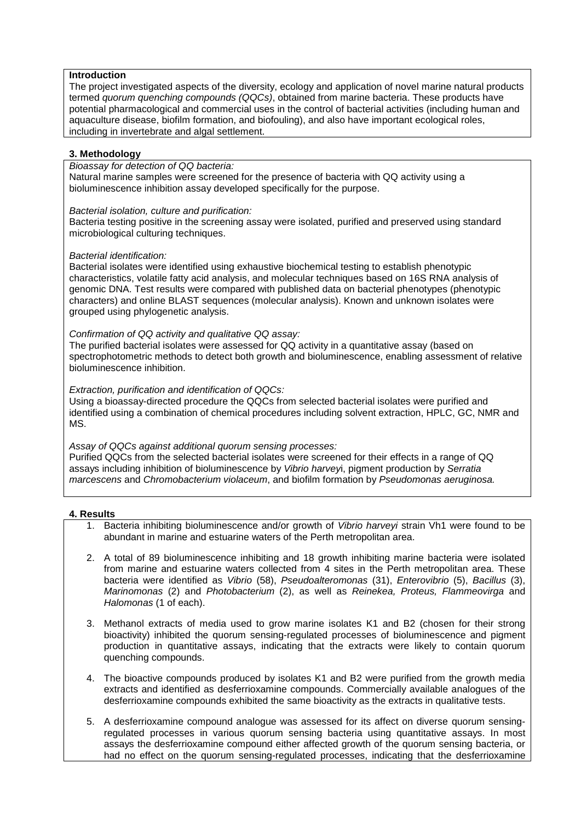## **Introduction**

The project investigated aspects of the diversity, ecology and application of novel marine natural products termed *quorum quenching compounds (QQCs)*, obtained from marine bacteria. These products have potential pharmacological and commercial uses in the control of bacterial activities (including human and aquaculture disease, biofilm formation, and biofouling), and also have important ecological roles, including in invertebrate and algal settlement.

#### **3. Methodology**

#### *Bioassay for detection of QQ bacteria:*

Natural marine samples were screened for the presence of bacteria with QQ activity using a bioluminescence inhibition assay developed specifically for the purpose.

#### *Bacterial isolation, culture and purification:*

Bacteria testing positive in the screening assay were isolated, purified and preserved using standard microbiological culturing techniques.

#### *Bacterial identification:*

Bacterial isolates were identified using exhaustive biochemical testing to establish phenotypic characteristics, volatile fatty acid analysis, and molecular techniques based on 16S RNA analysis of genomic DNA. Test results were compared with published data on bacterial phenotypes (phenotypic characters) and online BLAST sequences (molecular analysis). Known and unknown isolates were grouped using phylogenetic analysis.

#### *Confirmation of QQ activity and qualitative QQ assay:*

The purified bacterial isolates were assessed for QQ activity in a quantitative assay (based on spectrophotometric methods to detect both growth and bioluminescence, enabling assessment of relative bioluminescence inhibition.

#### *Extraction, purification and identification of QQCs:*

Using a bioassay-directed procedure the QQCs from selected bacterial isolates were purified and identified using a combination of chemical procedures including solvent extraction, HPLC, GC, NMR and MS.

#### *Assay of QQCs against additional quorum sensing processes:*

Purified QQCs from the selected bacterial isolates were screened for their effects in a range of QQ assays including inhibition of bioluminescence by *Vibrio harvey*i, pigment production by *Serratia marcescens* and *Chromobacterium violaceum*, and biofilm formation by *Pseudomonas aeruginosa.*

#### **4. Results**

- 1. Bacteria inhibiting bioluminescence and/or growth of *Vibrio harveyi* strain Vh1 were found to be abundant in marine and estuarine waters of the Perth metropolitan area.
- 2. A total of 89 bioluminescence inhibiting and 18 growth inhibiting marine bacteria were isolated from marine and estuarine waters collected from 4 sites in the Perth metropolitan area. These bacteria were identified as *Vibrio* (58), *Pseudoalteromonas* (31), *Enterovibrio* (5), *Bacillus* (3), *Marinomonas* (2) and *Photobacterium* (2), as well as *Reinekea, Proteus, Flammeovirga* and *Halomonas* (1 of each).
- 3. Methanol extracts of media used to grow marine isolates K1 and B2 (chosen for their strong bioactivity) inhibited the quorum sensing-regulated processes of bioluminescence and pigment production in quantitative assays, indicating that the extracts were likely to contain quorum quenching compounds.
- 4. The bioactive compounds produced by isolates K1 and B2 were purified from the growth media extracts and identified as desferrioxamine compounds. Commercially available analogues of the desferrioxamine compounds exhibited the same bioactivity as the extracts in qualitative tests.
- 5. A desferrioxamine compound analogue was assessed for its affect on diverse quorum sensingregulated processes in various quorum sensing bacteria using quantitative assays. In most assays the desferrioxamine compound either affected growth of the quorum sensing bacteria, or had no effect on the quorum sensing-regulated processes, indicating that the desferrioxamine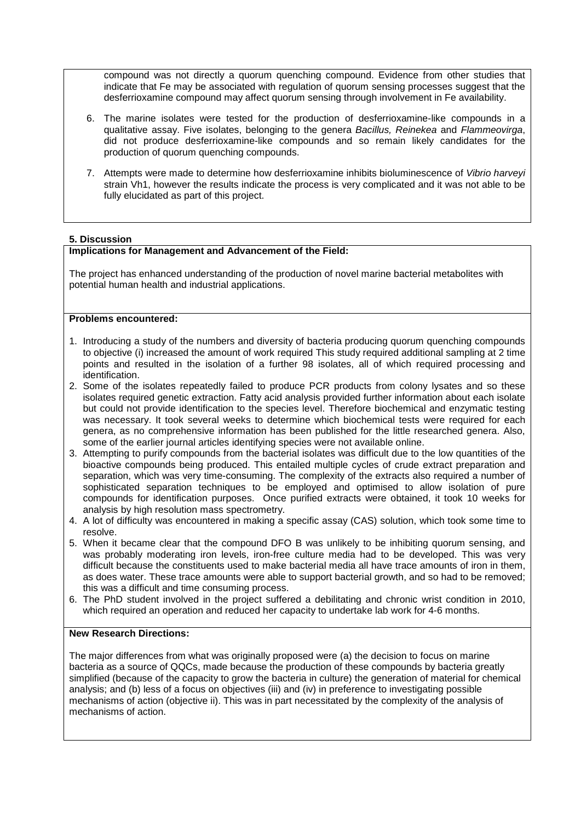compound was not directly a quorum quenching compound. Evidence from other studies that indicate that Fe may be associated with regulation of quorum sensing processes suggest that the desferrioxamine compound may affect quorum sensing through involvement in Fe availability.

- 6. The marine isolates were tested for the production of desferrioxamine-like compounds in a qualitative assay. Five isolates, belonging to the genera *Bacillus, Reinekea* and *Flammeovirga*, did not produce desferrioxamine-like compounds and so remain likely candidates for the production of quorum quenching compounds.
- 7. Attempts were made to determine how desferrioxamine inhibits bioluminescence of *Vibrio harveyi* strain Vh1, however the results indicate the process is very complicated and it was not able to be fully elucidated as part of this project.

#### **5. Discussion**

## **Implications for Management and Advancement of the Field:**

The project has enhanced understanding of the production of novel marine bacterial metabolites with potential human health and industrial applications.

## **Problems encountered:**

- 1. Introducing a study of the numbers and diversity of bacteria producing quorum quenching compounds to objective (i) increased the amount of work required This study required additional sampling at 2 time points and resulted in the isolation of a further 98 isolates, all of which required processing and identification.
- 2. Some of the isolates repeatedly failed to produce PCR products from colony lysates and so these isolates required genetic extraction. Fatty acid analysis provided further information about each isolate but could not provide identification to the species level. Therefore biochemical and enzymatic testing was necessary. It took several weeks to determine which biochemical tests were required for each genera, as no comprehensive information has been published for the little researched genera. Also, some of the earlier journal articles identifying species were not available online.
- 3. Attempting to purify compounds from the bacterial isolates was difficult due to the low quantities of the bioactive compounds being produced. This entailed multiple cycles of crude extract preparation and separation, which was very time-consuming. The complexity of the extracts also required a number of sophisticated separation techniques to be employed and optimised to allow isolation of pure compounds for identification purposes. Once purified extracts were obtained, it took 10 weeks for analysis by high resolution mass spectrometry.
- 4. A lot of difficulty was encountered in making a specific assay (CAS) solution, which took some time to resolve.
- 5. When it became clear that the compound DFO B was unlikely to be inhibiting quorum sensing, and was probably moderating iron levels, iron-free culture media had to be developed. This was very difficult because the constituents used to make bacterial media all have trace amounts of iron in them, as does water. These trace amounts were able to support bacterial growth, and so had to be removed; this was a difficult and time consuming process.
- 6. The PhD student involved in the project suffered a debilitating and chronic wrist condition in 2010, which required an operation and reduced her capacity to undertake lab work for 4-6 months.

#### **New Research Directions:**

The major differences from what was originally proposed were (a) the decision to focus on marine bacteria as a source of QQCs, made because the production of these compounds by bacteria greatly simplified (because of the capacity to grow the bacteria in culture) the generation of material for chemical analysis; and (b) less of a focus on objectives (iii) and (iv) in preference to investigating possible mechanisms of action (objective ii). This was in part necessitated by the complexity of the analysis of mechanisms of action.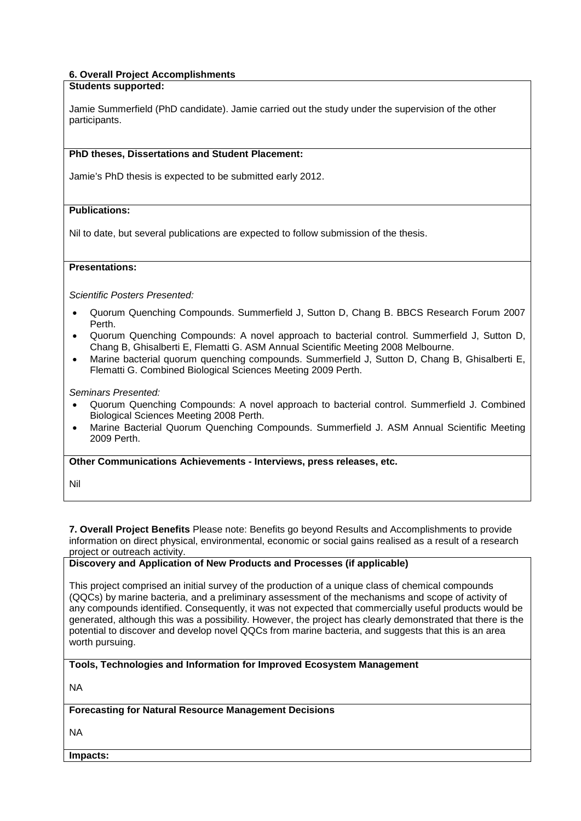## **6. Overall Project Accomplishments**

#### **Students supported:**

Jamie Summerfield (PhD candidate). Jamie carried out the study under the supervision of the other participants.

#### **PhD theses, Dissertations and Student Placement:**

Jamie's PhD thesis is expected to be submitted early 2012.

#### **Publications:**

Nil to date, but several publications are expected to follow submission of the thesis.

#### **Presentations:**

*Scientific Posters Presented:*

- Quorum Quenching Compounds. Summerfield J, Sutton D, Chang B. BBCS Research Forum 2007 Perth.
- Quorum Quenching Compounds: A novel approach to bacterial control. Summerfield J, Sutton D, Chang B, Ghisalberti E, Flematti G. ASM Annual Scientific Meeting 2008 Melbourne.
- Marine bacterial quorum quenching compounds. Summerfield J, Sutton D, Chang B, Ghisalberti E, Flematti G. Combined Biological Sciences Meeting 2009 Perth.

*Seminars Presented:*

- Quorum Quenching Compounds: A novel approach to bacterial control. Summerfield J. Combined Biological Sciences Meeting 2008 Perth.
- Marine Bacterial Quorum Quenching Compounds. Summerfield J. ASM Annual Scientific Meeting 2009 Perth.

**Other Communications Achievements - Interviews, press releases, etc.**

Nil

**7. Overall Project Benefits** Please note: Benefits go beyond Results and Accomplishments to provide information on direct physical, environmental, economic or social gains realised as a result of a research project or outreach activity.

# **Discovery and Application of New Products and Processes (if applicable)**

This project comprised an initial survey of the production of a unique class of chemical compounds (QQCs) by marine bacteria, and a preliminary assessment of the mechanisms and scope of activity of any compounds identified. Consequently, it was not expected that commercially useful products would be generated, although this was a possibility. However, the project has clearly demonstrated that there is the potential to discover and develop novel QQCs from marine bacteria, and suggests that this is an area worth pursuing.

**Tools, Technologies and Information for Improved Ecosystem Management** 

NA

## **Forecasting for Natural Resource Management Decisions**

NA

**Impacts:**